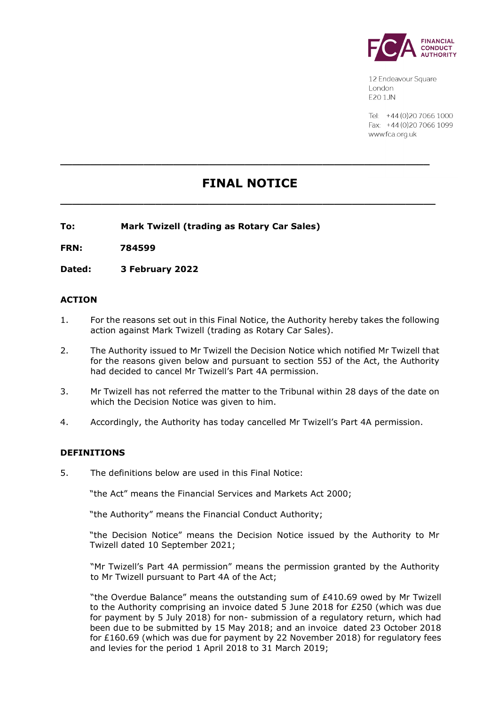

12 Endeavour Square London E201JN

Tel: +44 (0) 20 7066 1000 Fax: +44 (0) 20 7066 1099 www.fca.org.uk

# **FINAL NOTICE**

**\_\_\_\_\_\_\_\_\_\_\_\_\_\_\_\_\_\_\_\_\_\_\_\_\_\_\_\_\_\_\_\_\_\_\_\_\_\_\_\_\_\_\_\_\_\_\_\_\_\_\_\_\_\_\_\_\_\_\_\_\_\_\_**

**\_\_\_\_\_\_\_\_\_\_\_\_\_\_\_\_\_\_\_\_\_\_\_\_\_\_\_\_\_\_\_\_\_\_\_\_\_\_\_\_\_\_\_\_\_\_\_\_\_\_\_\_\_\_\_\_\_\_\_\_\_\_**

**To: Mark Twizell (trading as Rotary Car Sales)**

**FRN: 784599**

**Dated: 3 February 2022**

### **ACTION**

- 1. For the reasons set out in this Final Notice, the Authority hereby takes the following action against Mark Twizell (trading as Rotary Car Sales).
- 2. The Authority issued to Mr Twizell the Decision Notice which notified Mr Twizell that for the reasons given below and pursuant to section 55J of the Act, the Authority had decided to cancel Mr Twizell's Part 4A permission.
- 3. Mr Twizell has not referred the matter to the Tribunal within 28 days of the date on which the Decision Notice was given to him.
- 4. Accordingly, the Authority has today cancelled Mr Twizell's Part 4A permission.

#### **DEFINITIONS**

5. The definitions below are used in this Final Notice:

"the Act" means the Financial Services and Markets Act 2000;

"the Authority" means the Financial Conduct Authority;

"the Decision Notice" means the Decision Notice issued by the Authority to Mr Twizell dated 10 September 2021;

"Mr Twizell's Part 4A permission" means the permission granted by the Authority to Mr Twizell pursuant to Part 4A of the Act;

"the Overdue Balance" means the outstanding sum of £410.69 owed by Mr Twizell to the Authority comprising an invoice dated 5 June 2018 for £250 (which was due for payment by 5 July 2018) for non- submission of a regulatory return, which had been due to be submitted by 15 May 2018; and an invoice dated 23 October 2018 for  $£160.69$  (which was due for payment by 22 November 2018) for regulatory fees and levies for the period 1 April 2018 to 31 March 2019;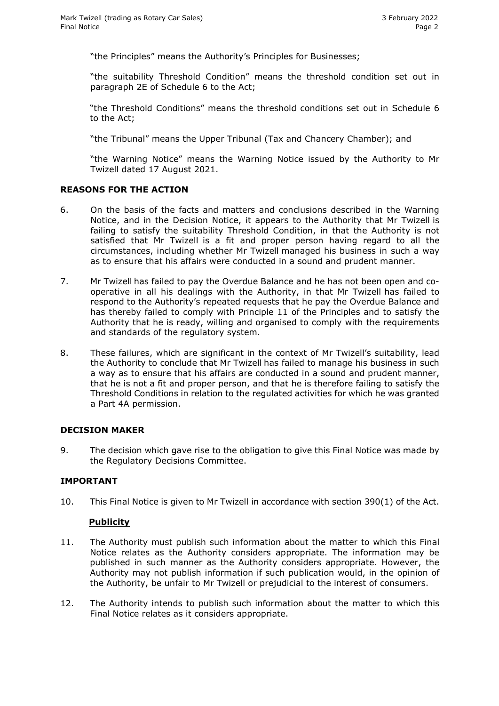"the Principles" means the Authority's Principles for Businesses;

"the suitability Threshold Condition" means the threshold condition set out in paragraph 2E of Schedule 6 to the Act;

"the Threshold Conditions" means the threshold conditions set out in Schedule 6 to the Act;

"the Tribunal" means the Upper Tribunal (Tax and Chancery Chamber); and

"the Warning Notice" means the Warning Notice issued by the Authority to Mr Twizell dated 17 August 2021.

## **REASONS FOR THE ACTION**

- 6. On the basis of the facts and matters and conclusions described in the Warning Notice, and in the Decision Notice, it appears to the Authority that Mr Twizell is failing to satisfy the suitability Threshold Condition, in that the Authority is not satisfied that Mr Twizell is a fit and proper person having regard to all the circumstances, including whether Mr Twizell managed his business in such a way as to ensure that his affairs were conducted in a sound and prudent manner.
- 7. Mr Twizell has failed to pay the Overdue Balance and he has not been open and cooperative in all his dealings with the Authority, in that Mr Twizell has failed to respond to the Authority's repeated requests that he pay the Overdue Balance and has thereby failed to comply with Principle 11 of the Principles and to satisfy the Authority that he is ready, willing and organised to comply with the requirements and standards of the regulatory system.
- 8. These failures, which are significant in the context of Mr Twizell's suitability, lead the Authority to conclude that Mr Twizell has failed to manage his business in such a way as to ensure that his affairs are conducted in a sound and prudent manner, that he is not a fit and proper person, and that he is therefore failing to satisfy the Threshold Conditions in relation to the regulated activities for which he was granted a Part 4A permission.

#### **DECISION MAKER**

9. The decision which gave rise to the obligation to give this Final Notice was made by the Regulatory Decisions Committee.

#### **IMPORTANT**

10. This Final Notice is given to Mr Twizell in accordance with section 390(1) of the Act.

#### **Publicity**

- 11. The Authority must publish such information about the matter to which this Final Notice relates as the Authority considers appropriate. The information may be published in such manner as the Authority considers appropriate. However, the Authority may not publish information if such publication would, in the opinion of the Authority, be unfair to Mr Twizell or prejudicial to the interest of consumers.
- 12. The Authority intends to publish such information about the matter to which this Final Notice relates as it considers appropriate.